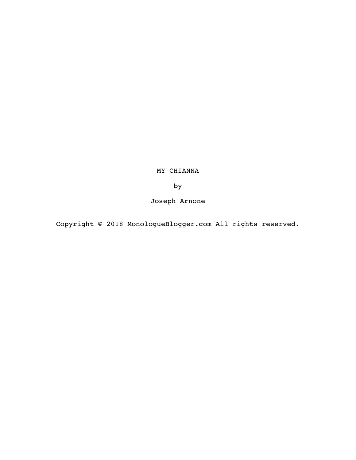MY CHIANNA

by

Joseph Arnone

Copyright © 2018 MonologueBlogger.com All rights reserved.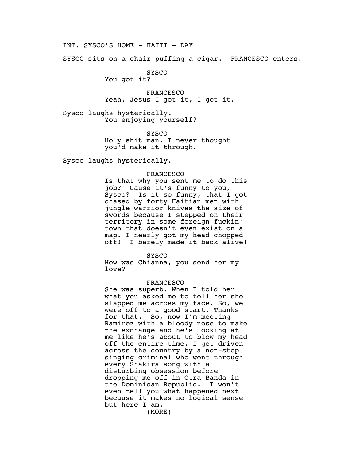INT. SYSCO'S HOME - HAITI - DAY

SYSCO sits on a chair puffing a cigar. FRANCESCO enters.

SYSCO

You got it?

FRANCESCO Yeah, Jesus I got it, I got it.

Sysco laughs hysterically. You enjoying yourself?

**SYSCO** 

Holy shit man, I never thought you'd make it through.

Sysco laughs hysterically.

## FRANCESCO

Is that why you sent me to do this job? Cause it's funny to you, Sysco? Is it so funny, that I got chased by forty Haitian men with jungle warrior knives the size of swords because I stepped on their territory in some foreign fuckin' town that doesn't even exist on a map. I nearly got my head chopped off! I barely made it back alive!

SYSCO

How was Chianna, you send her my love?

## FRANCESCO

She was superb. When I told her what you asked me to tell her she slapped me across my face. So, we were off to a good start. Thanks for that. So, now I'm meeting Ramirez with a bloody nose to make the exchange and he's looking at me like he's about to blow my head off the entire time. I get driven across the country by a non-stop singing criminal who went through every Shakira song with a disturbing obsession before dropping me off in Otra Banda in the Dominican Republic. I won't even tell you what happened next because it makes no logical sense but here I am.

(MORE)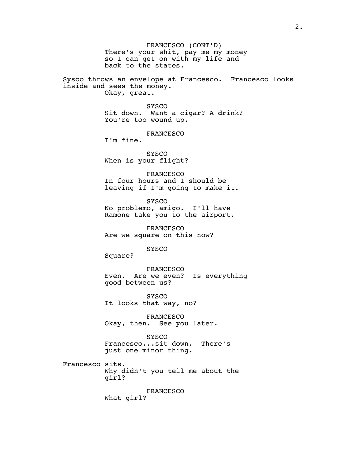FRANCESCO (CONT'D) There's your shit, pay me my money so I can get on with my life and back to the states. Sysco throws an envelope at Francesco. Francesco looks inside and sees the money. Okay, great. SYSCO Sit down. Want a cigar? A drink? You're too wound up. FRANCESCO I'm fine. SYSCO When is your flight? FRANCESCO In four hours and I should be leaving if I'm going to make it. SYSCO No problemo, amigo. I'll have Ramone take you to the airport. FRANCESCO Are we square on this now? SYSCO Square? FRANCESCO Even. Are we even? Is everything good between us? SYSCO It looks that way, no? FRANCESCO Okay, then. See you later. **SYSCO** Francesco...sit down. There's just one minor thing. Francesco sits. Why didn't you tell me about the girl? FRANCESCO What girl?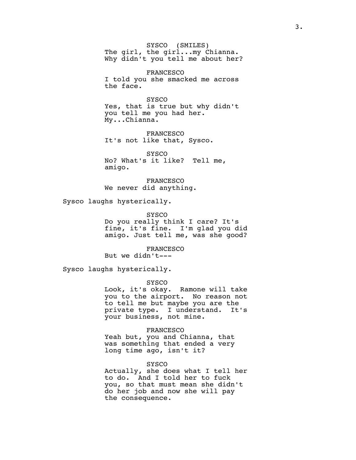SYSCO (SMILES) The girl, the girl...my Chianna. Why didn't you tell me about her?

FRANCESCO I told you she smacked me across the face.

**SYSCO** Yes, that is true but why didn't you tell me you had her. My...Chianna.

FRANCESCO It's not like that, Sysco.

SYSCO No? What's it like? Tell me, amigo.

FRANCESCO We never did anything.

Sysco laughs hysterically.

SYSCO Do you really think I care? It's fine, it's fine. I'm glad you did amigo. Just tell me, was she good?

FRANCESCO But we didn't---

Sysco laughs hysterically.

SYSCO

Look, it's okay. Ramone will take you to the airport. No reason not to tell me but maybe you are the private type. I understand. It's your business, not mine.

FRANCESCO

Yeah but, you and Chianna, that was something that ended a very long time ago, isn't it?

## SYSCO

Actually, she does what I tell her to do. And I told her to fuck you, so that must mean she didn't do her job and now she will pay the consequence.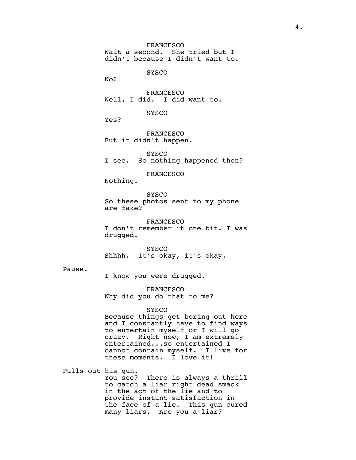FRANCESCO Wait a second. She tried but I didn't because I didn't want to. SYSCO No? FRANCESCO Well, I did. I did want to. SYSCO Yes? FRANCESCO But it didn't happen. SYSCO I see. So nothing happened then? FRANCESCO Nothing. SYSCO So these photos sent to my phone are fake? FRANCESCO I don't remember it one bit. I was drugged. SYSCO Shhhh. It's okay, it's okay. I know you were drugged. FRANCESCO Why did you do that to me? **SYSCO** Because things get boring out here and I constantly have to find ways to entertain myself or I will go crazy. Right now, I am extremely entertained...so entertained I cannot contain myself. I live for these moments. I love it! Pulls out his gun. You see? There is always a thrill to catch a liar right dead smack in the act of the lie and to

Pause.

provide instant satisfaction in the face of a lie. This gun cured many liars. Are you a liar?